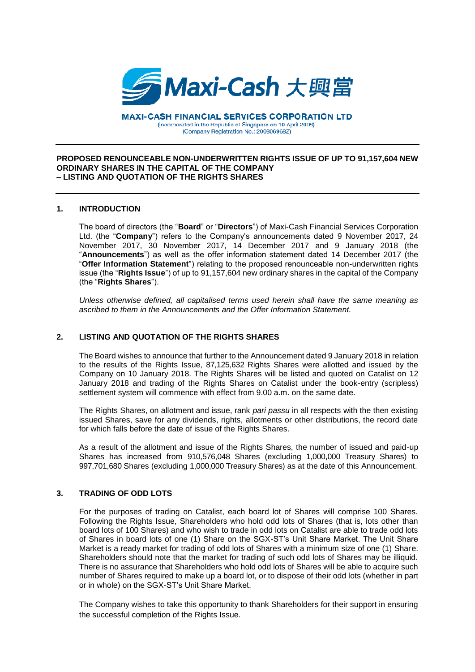

**MAXI-CASH FINANCIAL SERVICES CORPORATION LTD** (Incorporated in the Republic of Singapore on 10 April 2008) (Company Registration No.: 200806968Z)

#### **PROPOSED RENOUNCEABLE NON-UNDERWRITTEN RIGHTS ISSUE OF UP TO 91,157,604 NEW ORDINARY SHARES IN THE CAPITAL OF THE COMPANY – LISTING AND QUOTATION OF THE RIGHTS SHARES**

## **1. INTRODUCTION**

The board of directors (the "**Board**" or "**Directors**") of Maxi-Cash Financial Services Corporation Ltd. (the "**Company**") refers to the Company's announcements dated 9 November 2017, 24 November 2017, 30 November 2017, 14 December 2017 and 9 January 2018 (the "**Announcements**") as well as the offer information statement dated 14 December 2017 (the "**Offer Information Statement**") relating to the proposed renounceable non-underwritten rights issue (the "**Rights Issue**") of up to 91,157,604 new ordinary shares in the capital of the Company (the "**Rights Shares**").

*Unless otherwise defined, all capitalised terms used herein shall have the same meaning as ascribed to them in the Announcements and the Offer Information Statement.*

# **2. LISTING AND QUOTATION OF THE RIGHTS SHARES**

The Board wishes to announce that further to the Announcement dated 9 January 2018 in relation to the results of the Rights Issue, 87,125,632 Rights Shares were allotted and issued by the Company on 10 January 2018. The Rights Shares will be listed and quoted on Catalist on 12 January 2018 and trading of the Rights Shares on Catalist under the book-entry (scripless) settlement system will commence with effect from 9.00 a.m. on the same date.

The Rights Shares, on allotment and issue, rank *pari passu* in all respects with the then existing issued Shares, save for any dividends, rights, allotments or other distributions, the record date for which falls before the date of issue of the Rights Shares.

As a result of the allotment and issue of the Rights Shares, the number of issued and paid-up Shares has increased from 910,576,048 Shares (excluding 1,000,000 Treasury Shares) to 997,701,680 Shares (excluding 1,000,000 Treasury Shares) as at the date of this Announcement.

## **3. TRADING OF ODD LOTS**

For the purposes of trading on Catalist, each board lot of Shares will comprise 100 Shares. Following the Rights Issue, Shareholders who hold odd lots of Shares (that is, lots other than board lots of 100 Shares) and who wish to trade in odd lots on Catalist are able to trade odd lots of Shares in board lots of one (1) Share on the SGX-ST's Unit Share Market. The Unit Share Market is a ready market for trading of odd lots of Shares with a minimum size of one (1) Share. Shareholders should note that the market for trading of such odd lots of Shares may be illiquid. There is no assurance that Shareholders who hold odd lots of Shares will be able to acquire such number of Shares required to make up a board lot, or to dispose of their odd lots (whether in part or in whole) on the SGX-ST's Unit Share Market.

The Company wishes to take this opportunity to thank Shareholders for their support in ensuring the successful completion of the Rights Issue.